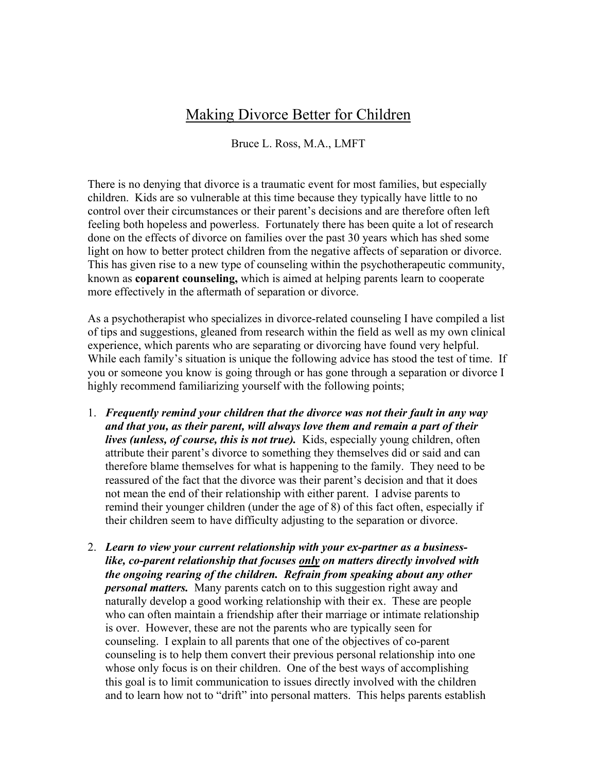## Making Divorce Better for Children

Bruce L. Ross, M.A., LMFT

There is no denying that divorce is a traumatic event for most families, but especially children. Kids are so vulnerable at this time because they typically have little to no control over their circumstances or their parent's decisions and are therefore often left feeling both hopeless and powerless. Fortunately there has been quite a lot of research done on the effects of divorce on families over the past 30 years which has shed some light on how to better protect children from the negative affects of separation or divorce. This has given rise to a new type of counseling within the psychotherapeutic community, known as **coparent counseling,** which is aimed at helping parents learn to cooperate more effectively in the aftermath of separation or divorce.

As a psychotherapist who specializes in divorce-related counseling I have compiled a list of tips and suggestions, gleaned from research within the field as well as my own clinical experience, which parents who are separating or divorcing have found very helpful. While each family's situation is unique the following advice has stood the test of time. If you or someone you know is going through or has gone through a separation or divorce I highly recommend familiarizing yourself with the following points;

- 1. *Frequently remind your children that the divorce was not their fault in any way and that you, as their parent, will always love them and remain a part of their lives (unless, of course, this is not true).* Kids, especially young children, often attribute their parent's divorce to something they themselves did or said and can therefore blame themselves for what is happening to the family. They need to be reassured of the fact that the divorce was their parent's decision and that it does not mean the end of their relationship with either parent. I advise parents to remind their younger children (under the age of 8) of this fact often, especially if their children seem to have difficulty adjusting to the separation or divorce.
- 2. *Learn to view your current relationship with your ex-partner as a businesslike, co-parent relationship that focuses only on matters directly involved with the ongoing rearing of the children. Refrain from speaking about any other personal matters.* Many parents catch on to this suggestion right away and naturally develop a good working relationship with their ex. These are people who can often maintain a friendship after their marriage or intimate relationship is over. However, these are not the parents who are typically seen for counseling. I explain to all parents that one of the objectives of co-parent counseling is to help them convert their previous personal relationship into one whose only focus is on their children. One of the best ways of accomplishing this goal is to limit communication to issues directly involved with the children and to learn how not to "drift" into personal matters. This helps parents establish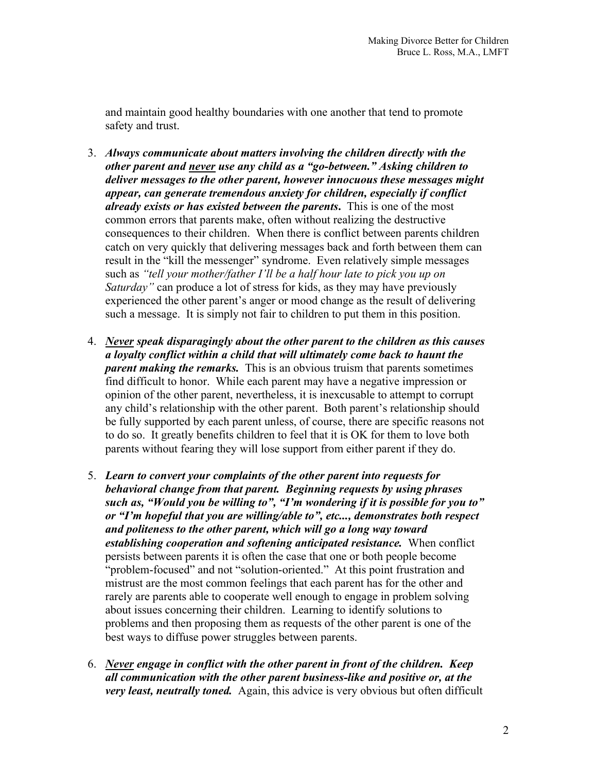and maintain good healthy boundaries with one another that tend to promote safety and trust.

- 3. *Always communicate about matters involving the children directly with the other parent and never use any child as a "go-between." Asking children to deliver messages to the other parent, however innocuous these messages might appear, can generate tremendous anxiety for children, especially if conflict already exists or has existed between the parents***.** This is one of the most common errors that parents make, often without realizing the destructive consequences to their children. When there is conflict between parents children catch on very quickly that delivering messages back and forth between them can result in the "kill the messenger" syndrome. Even relatively simple messages such as *"tell your mother/father I'll be a half hour late to pick you up on Saturday"* can produce a lot of stress for kids, as they may have previously experienced the other parent's anger or mood change as the result of delivering such a message. It is simply not fair to children to put them in this position.
- 4. *Never speak disparagingly about the other parent to the children as this causes a loyalty conflict within a child that will ultimately come back to haunt the parent making the remarks.* This is an obvious truism that parents sometimes find difficult to honor. While each parent may have a negative impression or opinion of the other parent, nevertheless, it is inexcusable to attempt to corrupt any child's relationship with the other parent. Both parent's relationship should be fully supported by each parent unless, of course, there are specific reasons not to do so. It greatly benefits children to feel that it is OK for them to love both parents without fearing they will lose support from either parent if they do.
- 5. *Learn to convert your complaints of the other parent into requests for behavioral change from that parent. Beginning requests by using phrases such as, "Would you be willing to", "I'm wondering if it is possible for you to" or "I'm hopeful that you are willing/able to", etc..., demonstrates both respect and politeness to the other parent, which will go a long way toward establishing cooperation and softening anticipated resistance.* When conflict persists between parents it is often the case that one or both people become "problem-focused" and not "solution-oriented." At this point frustration and mistrust are the most common feelings that each parent has for the other and rarely are parents able to cooperate well enough to engage in problem solving about issues concerning their children. Learning to identify solutions to problems and then proposing them as requests of the other parent is one of the best ways to diffuse power struggles between parents.
- 6. *Never engage in conflict with the other parent in front of the children. Keep all communication with the other parent business-like and positive or, at the very least, neutrally toned.* Again, this advice is very obvious but often difficult